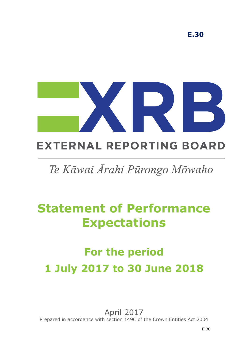

# **EXTERNAL REPORTING BOARD**

# Te Kāwai Ārahi Pūrongo Mōwaho

# **Statement of Performance Expectations**

# **For the period 1 July 2017 to 30 June 2018**

April 2017 Prepared in accordance with section 149C of the Crown Entities Act 2004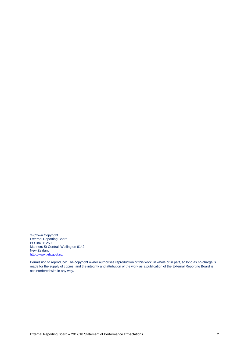© Crown Copyright External Reporting Board PO Box 11250 Manners St Central, Wellington 6142 New Zealand [http://www.xrb.govt.nz](http://www.xrb.govt.nz/)

Permission to reproduce: The copyright owner authorises reproduction of this work, in whole or in part, so long as no charge is made for the supply of copies, and the integrity and attribution of the work as a publication of the External Reporting Board is not interfered with in any way.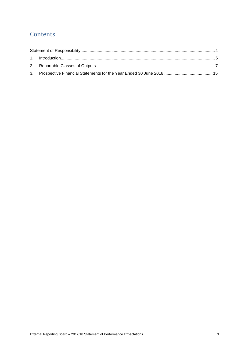# **Contents**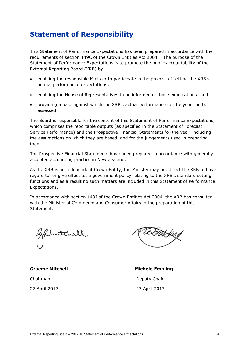# <span id="page-3-0"></span>**Statement of Responsibility**

This Statement of Performance Expectations has been prepared in accordance with the requirements of section 149C of the Crown Entities Act 2004. The purpose of the Statement of Performance Expectations is to promote the public accountability of the External Reporting Board (XRB) by:

- enabling the responsible Minister to participate in the process of setting the XRB's annual performance expectations;
- enabling the House of Representatives to be informed of those expectations; and
- providing a base against which the XRB's actual performance for the year can be assessed.

The Board is responsible for the content of this Statement of Performance Expectations, which comprises the reportable outputs (as specified in the Statement of Forecast Service Performance) and the Prospective Financial Statements for the year, including the assumptions on which they are based, and for the judgements used in preparing them.

The Prospective Financial Statements have been prepared in accordance with generally accepted accounting practice in New Zealand.

As the XRB is an Independent Crown Entity, the Minister may not direct the XRB to have regard to, or give effect to, a government policy relating to the XRB's standard setting functions and as a result no such matters are included in this Statement of Performance Expectations.

In accordance with section 149I of the Crown Entities Act 2004, the XRB has consulted with the Minister of Commerce and Consumer Affairs in the preparation of this Statement.

**Graeme Mitchell Michele Embling** 

EMBing

Chairman Deputy Chair 27 April 2017 27 April 2017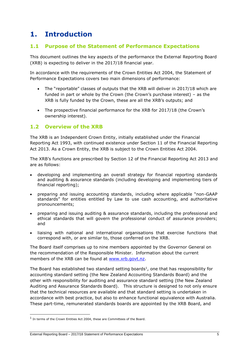# <span id="page-4-0"></span>**1. Introduction**

### **1.1 Purpose of the Statement of Performance Expectations**

This document outlines the key aspects of the performance the External Reporting Board (XRB) is expecting to deliver in the 2017/18 financial year.

In accordance with the requirements of the Crown Entities Act 2004, the Statement of Performance Expectations covers two main dimensions of performance:

- The "reportable" classes of outputs that the XRB will deliver in 2017/18 which are funded in part or whole by the Crown (the Crown's purchase interest) – as the XRB is fully funded by the Crown, these are all the XRB's outputs; and
- The prospective financial performance for the XRB for 2017/18 (the Crown's ownership interest).

### **1.2 Overview of the XRB**

The XRB is an Independent Crown Entity, initially established under the Financial Reporting Act 1993, with continued existence under Section 11 of the Financial Reporting Act 2013. As a Crown Entity, the XRB is subject to the Crown Entities Act 2004.

The XRB's functions are prescribed by Section 12 of the Financial Reporting Act 2013 and are as follows:

- developing and implementing an overall strategy for financial reporting standards and auditing & assurance standards (including developing and implementing tiers of financial reporting);
- preparing and issuing accounting standards, including where applicable "non-GAAP standards" for entities entitled by Law to use cash accounting, and authoritative pronouncements;
- preparing and issuing auditing & assurance standards, including the professional and ethical standards that will govern the professional conduct of assurance providers; and
- liaising with national and international organisations that exercise functions that correspond with, or are similar to, those conferred on the XRB.

The Board itself comprises up to nine members appointed by the Governor General on the recommendation of the Responsible Minister. Information about the current members of the XRB can be found at [www.xrb.govt.nz.](http://www.xrb.govt.nz/)

The Board has established two standard setting boards<sup>1</sup>, one that has responsibility for accounting standard setting (the New Zealand Accounting Standards Board) and the other with responsibility for auditing and assurance standard setting (the New Zealand Auditing and Assurance Standards Board). This structure is designed to not only ensure that the technical resources are available and that standard setting is undertaken in accordance with best practice, but also to enhance functional equivalence with Australia. These part-time, remunerated standards boards are appointed by the XRB Board, and

-

<sup>&</sup>lt;sup>1</sup> In terms of the Crown Entities Act 2004, these are Committees of the Board.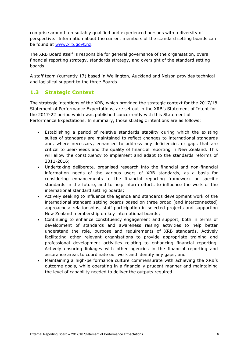comprise around ten suitably qualified and experienced persons with a diversity of perspective. Information about the current members of the standard setting boards can be found at [www.xrb.govt.nz.](http://www.xrb.govt.nz/)

The XRB Board itself is responsible for general governance of the organisation, overall financial reporting strategy, standards strategy, and oversight of the standard setting boards.

A staff team (currently 17) based in Wellington, Auckland and Nelson provides technical and logistical support to the three Boards.

### **1.3 Strategic Context**

The strategic intentions of the XRB, which provided the strategic context for the 2017/18 Statement of Performance Expectations, are set out in the XRB's Statement of Intent for the 2017-22 period which was published concurrently with this Statement of Performance Expectations. In summary, those strategic intentions are as follows:

- Establishing a period of relative standards stability during which the existing suites of standards are maintained to reflect changes to international standards and, where necessary, enhanced to address any deficiencies or gaps that are critical to user-needs and the quality of financial reporting in New Zealand. This will allow the constituency to implement and adapt to the standards reforms of 2011-2016;
- Undertaking deliberate, organised research into the financial and non-financial information needs of the various users of XRB standards, as a basis for considering enhancements to the financial reporting framework or specific standards in the future, and to help inform efforts to influence the work of the international standard setting boards;
- Actively seeking to influence the agenda and standards development work of the international standard setting boards based on three broad (and interconnected) approaches: relationships, staff participation in selected projects and supporting New Zealand membership on key international boards;
- Continuing to enhance constituency engagement and support, both in terms of development of standards and awareness raising activities to help better understand the role, purpose and requirements of XRB standards. Actively facilitating other relevant organisations to provide appropriate training and professional development activities relating to enhancing financial reporting. Actively ensuring linkages with other agencies in the financial reporting and assurance areas to coordinate our work and identify any gaps; and
- Maintaining a high-performance culture commensurate with achieving the XRB's outcome goals, while operating in a financially prudent manner and maintaining the level of capability needed to deliver the outputs required.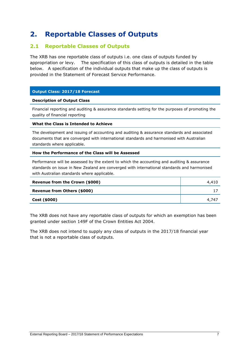# <span id="page-6-0"></span>**2. Reportable Classes of Outputs**

### **2.1 Reportable Classes of Outputs**

The XRB has one reportable class of outputs i.e. one class of outputs funded by appropriation or levy. The specification of this class of outputs is detailed in the table below. A specification of the individual outputs that make up the class of outputs is provided in the Statement of Forecast Service Performance.

#### **Output Class: 2017/18 Forecast**

#### **Description of Output Class**

Financial reporting and auditing & assurance standards setting for the purposes of promoting the quality of financial reporting

#### **What the Class is Intended to Achieve**

The development and issuing of accounting and auditing & assurance standards and associated documents that are converged with international standards and harmonised with Australian standards where applicable.

#### **How the Performance of the Class will be Assessed**

Performance will be assessed by the extent to which the accounting and auditing & assurance standards on issue in New Zealand are converged with international standards and harmonised with Australian standards where applicable.

| Revenue from the Crown (\$000) | 4,410 |
|--------------------------------|-------|
| Revenue from Others (\$000)    |       |
| Cost (\$000)                   | 4.747 |

The XRB does not have any reportable class of outputs for which an exemption has been granted under section 149F of the Crown Entities Act 2004.

The XRB does not intend to supply any class of outputs in the 2017/18 financial year that is not a reportable class of outputs.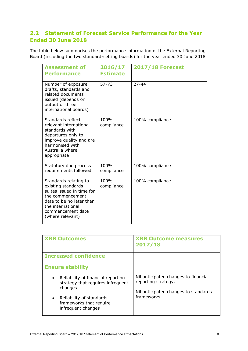# **2.2 Statement of Forecast Service Performance for the Year Ended 30 June 2018**

The table below summarises the performance information of the External Reporting Board (including the two standard-setting boards) for the year ended 30 June 2018

| <b>Assessment of</b><br><b>Performance</b>                                                                                                                                             | 2016/17<br><b>Estimate</b> | <b>2017/18 Forecast</b> |
|----------------------------------------------------------------------------------------------------------------------------------------------------------------------------------------|----------------------------|-------------------------|
| Number of exposure<br>drafts, standards and<br>related documents<br>issued (depends on<br>output of three<br>international boards)                                                     | $57 - 73$                  | $27 - 44$               |
| Standards reflect<br>relevant international<br>standards with<br>departures only to<br>improve quality and are<br>harmonised with<br>Australia where<br>appropriate                    | 100%<br>compliance         | 100% compliance         |
| Statutory due process<br>requirements followed                                                                                                                                         | 100%<br>compliance         | 100% compliance         |
| Standards relating to<br>existing standards<br>suites issued in time for<br>the commencement<br>date to be no later than<br>the international<br>commencement date<br>(where relevant) | 100%<br>compliance         | 100% compliance         |

| <b>XRB Outcomes</b>                                                                                                                                                                       | <b>XRB Outcome measures</b><br>2017/18                                                                             |
|-------------------------------------------------------------------------------------------------------------------------------------------------------------------------------------------|--------------------------------------------------------------------------------------------------------------------|
| <b>Increased confidence</b>                                                                                                                                                               |                                                                                                                    |
| <b>Ensure stability</b>                                                                                                                                                                   |                                                                                                                    |
| Reliability of financial reporting<br>$\bullet$<br>strategy that requires infrequent<br>changes<br>Reliability of standards<br>$\bullet$<br>frameworks that require<br>infrequent changes | Nil anticipated changes to financial<br>reporting strategy.<br>Nil anticipated changes to standards<br>frameworks. |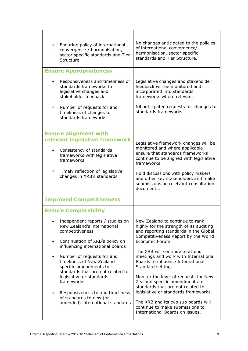| Enduring policy of international<br>convergence / harmonisation,<br>sector specific standards and Tier<br>Structure                                                                                               | No changes anticipated to the policies<br>of international convergence/<br>harmonisation, sector specific<br>standards and Tier Structure.                                                                               |
|-------------------------------------------------------------------------------------------------------------------------------------------------------------------------------------------------------------------|--------------------------------------------------------------------------------------------------------------------------------------------------------------------------------------------------------------------------|
| <b>Ensure Appropriateness</b>                                                                                                                                                                                     |                                                                                                                                                                                                                          |
| Responsiveness and timeliness of<br>standards frameworks to<br>legislative changes and<br>stakeholder feedback                                                                                                    | Legislative changes and stakeholder<br>feedback will be monitored and<br>incorporated into standards<br>frameworks where relevant.                                                                                       |
| Number of requests for and<br>$\bullet$<br>timeliness of changes to<br>standards frameworks                                                                                                                       | Nil anticipated requests for changes to<br>standards frameworks.                                                                                                                                                         |
| <b>Ensure alignment with</b>                                                                                                                                                                                      |                                                                                                                                                                                                                          |
| relevant legislative framework<br>Consistency of standards<br>frameworks with legislative<br>frameworks                                                                                                           | Legislative framework changes will be<br>monitored and where applicable<br>ensure that standards frameworks<br>continue to be aligned with legislative<br>frameworks.                                                    |
| Timely reflection of legislative<br>$\bullet$<br>changes in XRB's standards                                                                                                                                       | Hold discussions with policy makers<br>and other key stakeholders and make<br>submissions on relelvant consultation<br>documents.                                                                                        |
| <b>Improved Competitiveness</b>                                                                                                                                                                                   |                                                                                                                                                                                                                          |
| <b>Ensure Comparability</b>                                                                                                                                                                                       |                                                                                                                                                                                                                          |
| Independent reports / studies on<br>New Zealand's international<br>competitiveness<br>Continuation of XRB's policy on<br>$\bullet$                                                                                | New Zealand to continue to rank<br>highly for the strength of its auditing<br>and reporting standards in the Global<br>Competitiveness Report by the World<br>Economic Forum.                                            |
| influencing international boards<br>Number of requests for and<br>$\bullet$<br>timeliness of New Zealand<br>specific amendments to<br>standards that are not related to<br>legislative or standards<br>frameworks | The XRB will continue to attend<br>meetings and work with International<br>Boards to influence International<br>Standard setting.<br>Monitor the level of requests for New                                               |
| Responsiveness to and timeliness<br>$\bullet$<br>of standards to new (or<br>amended) international standards                                                                                                      | Zealand specific amendments to<br>standards that are not related to<br>legislative or standards frameworks.<br>The XRB and its two sub boards will<br>continue to make submissions to<br>International Boards on issues. |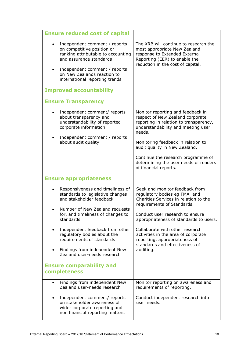| <b>Ensure reduced cost of capital</b>                                                                                                                                                                                          |                                                                                                                                                                              |
|--------------------------------------------------------------------------------------------------------------------------------------------------------------------------------------------------------------------------------|------------------------------------------------------------------------------------------------------------------------------------------------------------------------------|
| Independent comment / reports<br>on competitive position or<br>ranking attributable to accounting<br>and assurance standards<br>Independent comment / reports<br>on New Zealands reaction to<br>international reporting trends | The XRB will continue to research the<br>most appropriate New Zealand<br>response to Extended External<br>Reporting (EER) to enable the<br>reduction in the cost of capital. |
| <b>Improved accountability</b>                                                                                                                                                                                                 |                                                                                                                                                                              |
| <b>Ensure Transparency</b>                                                                                                                                                                                                     |                                                                                                                                                                              |
| Independent comment/ reports<br>about transparency and<br>understandability of reported<br>corporate information<br>Independent comment / reports<br>$\bullet$                                                                 | Monitor reporting and feedback in<br>respect of New Zealand corporate<br>reporting in relation to transparency,<br>understandability and meeting user<br>needs.              |
| about audit quality                                                                                                                                                                                                            | Monitoring feedback in relation to<br>audit quality in New Zealand.                                                                                                          |
|                                                                                                                                                                                                                                | Continue the research programme of<br>determining the user needs of readers<br>of financial reports.                                                                         |
|                                                                                                                                                                                                                                |                                                                                                                                                                              |
| <b>Ensure appropriateness</b>                                                                                                                                                                                                  |                                                                                                                                                                              |
| Responsiveness and timeliness of<br>standards to legislative changes<br>and stakeholder feedback                                                                                                                               | Seek and monitor feedback from<br>regulatory bodies eg FMA and<br>Charities Services in relation to the<br>requirements of Standards.                                        |
| Number of New Zealand requests<br>for, and timeliness of changes to<br>standards                                                                                                                                               | Conduct user research to ensure<br>appropriateness of standards to users.                                                                                                    |
| Independent feedback from other<br>$\bullet$<br>regulatory bodies about the<br>requirements of standards<br>Findings from independent New<br>$\bullet$                                                                         | Collaborate with other research<br>activities in the area of corporate<br>reporting, appropriateness of<br>standards and effectiveness of<br>auditing.                       |
| Zealand user-needs research                                                                                                                                                                                                    |                                                                                                                                                                              |
| <b>Ensure comparability and</b><br>completeness                                                                                                                                                                                |                                                                                                                                                                              |
| Findings from independent New<br>$\bullet$<br>Zealand user-needs research                                                                                                                                                      | Monitor reporting on awareness and<br>requirements of reporting.                                                                                                             |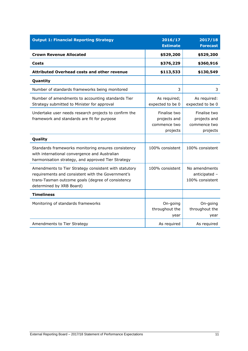| <b>Output 1: Financial Reporting Strategy</b>                                                                                                                                               | 2016/17<br><b>Estimate</b>                               | 2017/18<br><b>Forecast</b>                               |
|---------------------------------------------------------------------------------------------------------------------------------------------------------------------------------------------|----------------------------------------------------------|----------------------------------------------------------|
| <b>Crown Revenue Allocated</b>                                                                                                                                                              | \$529,200                                                | \$529,200                                                |
| Costs                                                                                                                                                                                       | \$376,229                                                | \$360,916                                                |
| <b>Attributed Overhead costs and other revenue</b>                                                                                                                                          | \$113,533                                                | \$130,549                                                |
| Quantity                                                                                                                                                                                    |                                                          |                                                          |
| Number of standards frameworks being monitored                                                                                                                                              | 3                                                        | 3                                                        |
| Number of amendments to accounting standards Tier<br>Strategy submitted to Minister for approval                                                                                            | As required;<br>expected to be 0                         | As required:<br>expected to be 0                         |
| Undertake user needs research projects to confirm the<br>framework and standards are fit for purpose                                                                                        | Finalise two<br>projects and<br>commence two<br>projects | Finalise two<br>projects and<br>commence two<br>projects |
| Quality                                                                                                                                                                                     |                                                          |                                                          |
| Standards frameworks monitoring ensures consistency<br>with international convergence and Australian<br>harmonisation strategy, and approved Tier Strategy                                  | 100% consistent                                          | 100% consistent                                          |
| Amendments to Tier Strategy consistent with statutory<br>requirements and consistent with the Government's<br>trans-Tasman outcome goals (degree of consistency<br>determined by XRB Board) | 100% consistent                                          | No amendments<br>anticipated -<br>100% consistent        |
| <b>Timeliness</b>                                                                                                                                                                           |                                                          |                                                          |
| Monitoring of standards frameworks                                                                                                                                                          | On-going<br>throughout the<br>year                       | On-going<br>throughout the<br>year                       |
| Amendments to Tier Strategy                                                                                                                                                                 | As required                                              | As required                                              |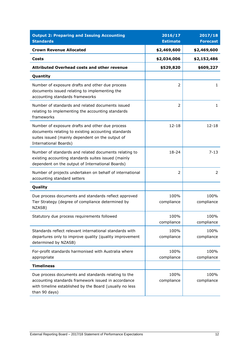| <b>Output 2: Preparing and Issuing Accounting</b><br><b>Standards</b>                                                                                                                      | 2016/17<br><b>Estimate</b> | 2017/18<br><b>Forecast</b> |
|--------------------------------------------------------------------------------------------------------------------------------------------------------------------------------------------|----------------------------|----------------------------|
| <b>Crown Revenue Allocated</b>                                                                                                                                                             | \$2,469,600                | \$2,469,600                |
| Costs                                                                                                                                                                                      | \$2,034,006                | \$2,152,486                |
| <b>Attributed Overhead costs and other revenue</b>                                                                                                                                         | \$529,820                  | \$609,227                  |
| Quantity                                                                                                                                                                                   |                            |                            |
| Number of exposure drafts and other due process<br>documents issued relating to implementing the<br>accounting standards frameworks                                                        | 2                          | $\mathbf{1}$               |
| Number of standards and related documents issued<br>relating to implementing the accounting standards<br>frameworks                                                                        | 2                          | $\mathbf{1}$               |
| Number of exposure drafts and other due process<br>documents relating to existing accounting standards<br>suites issued (mainly dependent on the output of<br><b>International Boards)</b> | $12 - 18$                  | $12 - 18$                  |
| Number of standards and related documents relating to<br>existing accounting standards suites issued (mainly<br>dependent on the output of International Boards)                           | 18-24                      | $7 - 13$                   |
| Number of projects undertaken on behalf of international<br>accounting standard setters                                                                                                    | 2                          | 2                          |
| Quality                                                                                                                                                                                    |                            |                            |
| Due process documents and standards reflect approved<br>Tier Strategy (degree of compliance determined by<br>NZASB)                                                                        | 100%<br>compliance         | 100%<br>compliance         |
| Statutory due process requirements followed                                                                                                                                                | 100%<br>compliance         | 100%<br>compliance         |
| Standards reflect relevant international standards with<br>departures only to improve quality (quality improvement<br>determined by NZASB)                                                 | 100%<br>compliance         | 100%<br>compliance         |
| For-profit standards harmonised with Australia where<br>appropriate                                                                                                                        | 100%<br>compliance         | 100%<br>compliance         |
| <b>Timeliness</b>                                                                                                                                                                          |                            |                            |
| Due process documents and standards relating to the<br>accounting standards framework issued in accordance<br>with timeline established by the Board (usually no less<br>than 90 days)     | 100%<br>compliance         | 100%<br>compliance         |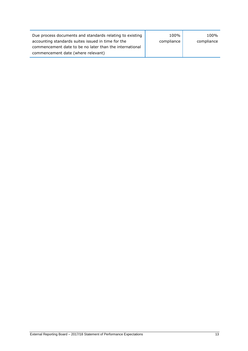| Due process documents and standards relating to existing | 100%       | 100%       |
|----------------------------------------------------------|------------|------------|
| accounting standards suites issued in time for the       | compliance | compliance |
| commencement date to be no later than the international  |            |            |
| commencement date (where relevant)                       |            |            |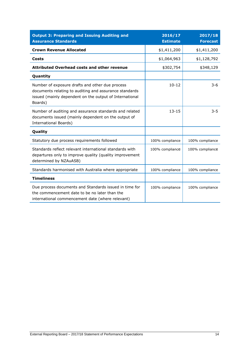| <b>Output 3: Preparing and Issuing Auditing and</b><br><b>Assurance Standards</b>                                                                                               | 2016/17<br><b>Estimate</b> | 2017/18<br><b>Forecast</b> |
|---------------------------------------------------------------------------------------------------------------------------------------------------------------------------------|----------------------------|----------------------------|
| <b>Crown Revenue Allocated</b>                                                                                                                                                  | \$1,411,200                | \$1,411,200                |
| <b>Costs</b>                                                                                                                                                                    | \$1,064,963                | \$1,128,792                |
| <b>Attributed Overhead costs and other revenue</b>                                                                                                                              | \$302,754                  | \$348,129                  |
| Quantity                                                                                                                                                                        |                            |                            |
| Number of exposure drafts and other due process<br>documents relating to auditing and assurance standards<br>issued (mainly dependent on the output of International<br>Boards) | $10 - 12$                  | $3 - 6$                    |
| Number of auditing and assurance standards and related<br>documents issued (mainly dependent on the output of<br><b>International Boards)</b>                                   | $13 - 15$                  | $3 - 5$                    |
| Quality                                                                                                                                                                         |                            |                            |
| Statutory due process requirements followed                                                                                                                                     | 100% compliance            | 100% compliance            |
| Standards reflect relevant international standards with<br>departures only to improve quality (quality improvement<br>determined by NZAuASB)                                    | 100% compliance            | 100% compliance            |
| Standards harmonised with Australia where appropriate                                                                                                                           | 100% compliance            | 100% compliance            |
| <b>Timeliness</b>                                                                                                                                                               |                            |                            |
| Due process documents and Standards issued in time for<br>the commencement date to be no later than the<br>international commencement date (where relevant)                     | 100% compliance            | 100% compliance            |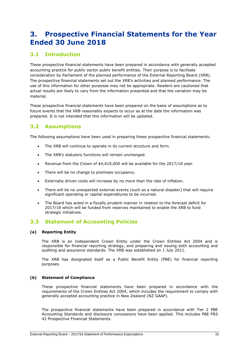# <span id="page-14-0"></span>**3. Prospective Financial Statements for the Year Ended 30 June 2018**

### **3.1 Introduction**

These prospective financial statements have been prepared in accordance with generally accepted accounting practice for public sector public benefit entities. Their purpose is to facilitate consideration by Parliament of the planned performance of the External Reporting Board (XRB). The prospective financial statements set out the XRB's activities and planned performance. The use of this information for other purposes may not be appropriate. Readers are cautioned that actual results are likely to vary from the information presented and that the variation may be material.

These prospective financial statements have been prepared on the basis of assumptions as to future events that the XRB reasonably expects to occur as at the date the information was prepared. It is not intended that this information will be updated.

### **3.2 Assumptions**

The following assumptions have been used in preparing these prospective financial statements:

- The XRB will continue to operate in its current structure and form.
- The XRB's statutory functions will remain unchanged.
- Revenue from the Crown of \$4,410,000 will be available for the 2017/18 year.
- There will be no change to premises occupancy.
- Externally driven costs will increase by no more than the rate of inflation.
- There will be no unexpected external events (such as a natural disaster) that will require significant operating or capital expenditures to be incurred.
- The Board has acted in a fiscally prudent manner in relation to the forecast deficit for 2017/18 which will be funded from reserves maintained to enable the XRB to fund strategic initiatives.

### **3.3 Statement of Accounting Policies**

#### **(a) Reporting Entity**

The XRB is an Independent Crown Entity under the Crown Entities Act 2004 and is responsible for financial reporting strategy, and preparing and issuing both accounting and auditing and assurance standards. The XRB was established on 1 July 2011.

The XRB has designated itself as a Public Benefit Entity (PBE) for financial reporting purposes.

#### **(b) Statement of Compliance**

These prospective financial statements have been prepared in accordance with the requirements of the Crown Entities Act 2004, which includes the requirement to comply with generally accepted accounting practice in New Zealand (NZ GAAP).

The prospective financial statements have been prepared in accordance with Tier 2 PBE Accounting Standards and disclosure concessions have been applied. This includes PBE FRS 42 Prospective Financial Statements.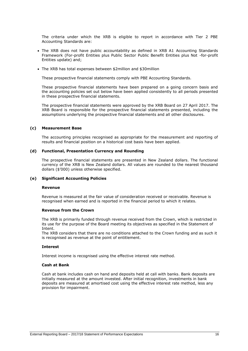The criteria under which the XRB is eligible to report in accordance with Tier 2 PBE Accounting Standards are:

- The XRB does not have public accountability as defined in XRB A1 Accounting Standards Framework (For-profit Entities plus Public Sector Public Benefit Entities plus Not -for-profit Entities update) and;
- The XRB has total expenses between \$2million and \$30million

These prospective financial statements comply with PBE Accounting Standards.

These prospective financial statements have been prepared on a going concern basis and the accounting policies set out below have been applied consistently to all periods presented in these prospective financial statements.

The prospective financial statements were approved by the XRB Board on 27 April 2017. The XRB Board is responsible for the prospective financial statements presented, including the assumptions underlying the prospective financial statements and all other disclosures.

#### **(c) Measurement Base**

The accounting principles recognised as appropriate for the measurement and reporting of results and financial position on a historical cost basis have been applied.

#### **(d) Functional, Presentation Currency and Rounding**

The prospective financial statements are presented in New Zealand dollars. The functional currency of the XRB is New Zealand dollars. All values are rounded to the nearest thousand dollars (\$'000) unless otherwise specified.

#### **(e) Significant Accounting Policies**

#### **Revenue**

Revenue is measured at the fair value of consideration received or receivable. Revenue is recognised when earned and is reported in the financial period to which it relates.

#### **Revenue from the Crown**

The XRB is primarily funded through revenue received from the Crown, which is restricted in its use for the purpose of the Board meeting its objectives as specified in the Statement of Intent.

The XRB considers that there are no conditions attached to the Crown funding and as such it is recognised as revenue at the point of entitlement.

#### **Interest**

Interest income is recognised using the effective interest rate method.

#### **Cash at Bank**

Cash at bank includes cash on hand and deposits held at call with banks. Bank deposits are initially measured at the amount invested. After initial recognition, investments in bank deposits are measured at amortised cost using the effective interest rate method, less any provision for impairment.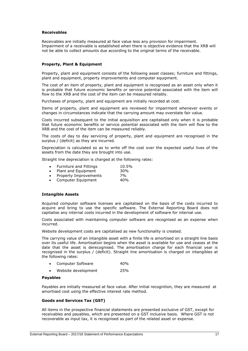#### **Receivables**

Receivables are initially measured at face value less any provision for impairment. Impairment of a receivable is established when there is objective evidence that the XRB will not be able to collect amounts due according to the original terms of the receivable.

#### **Property, Plant & Equipment**

Property, plant and equipment consists of the following asset classes; furniture and fittings, plant and equipment, property improvements and computer equipment.

The cost of an item of property, plant and equipment is recognised as an asset only when it is probable that future economic benefits or service potential associated with the item will flow to the XRB and the cost of the item can be measured reliably.

Purchases of property, plant and equipment are initially recorded at cost.

Items of property, plant and equipment are reviewed for impairment whenever events or changes in circumstances indicate that the carrying amount may overstate fair value.

Costs incurred subsequent to the initial acquisition are capitalised only when it is probable that future economic benefits or service potential associated with the item will flow to the XRB and the cost of the item can be measured reliably.

The costs of day to day servicing of property, plant and equipment are recognised in the surplus / (deficit) as they are incurred.

Depreciation is calculated so as to write off the cost over the expected useful lives of the assets from the date they are brought into use.

Straight line depreciation is charged at the following rates:

- Furniture and Fittings 10.5% • Plant and Equipment 30%
- Property Improvements 7%
- Computer Equipment 40%

#### **Intangible Assets**

Acquired computer software licenses are capitalised on the basis of the costs incurred to acquire and bring to use the specific software. The External Reporting Board does not capitalise any internal costs incurred in the development of software for internal use.

Costs associated with maintaining computer software are recognised as an expense when incurred.

Website development costs are capitalised as new functionality is created.

The carrying value of an intangible asset with a finite life is amortised on a straight line basis over its useful life. Amortisation begins when the asset is available for use and ceases at the date that the asset is derecognised. The amortisation charge for each financial year is recognised in the surplus / (deficit). Straight line amortisation is charged on intangibles at the following rates:

- Computer Software 40%
- Website development 25%

#### **Payables**

Payables are initially measured at face value. After initial recognition, they are measured at amortised cost using the effective interest rate method.

#### **Goods and Services Tax (GST)**

All items in the prospective financial statements are presented exclusive of GST, except for receivables and payables, which are presented on a GST inclusive basis. Where GST is not recoverable as input tax, it is recognised as part of the related asset or expense.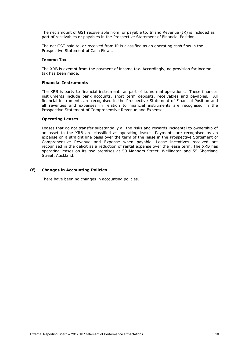The net amount of GST recoverable from, or payable to, Inland Revenue (IR) is included as part of receivables or payables in the Prospective Statement of Financial Position.

The net GST paid to, or received from IR is classified as an operating cash flow in the Prospective Statement of Cash Flows.

#### **Income Tax**

The XRB is exempt from the payment of income tax. Accordingly, no provision for income tax has been made.

#### **Financial Instruments**

The XRB is party to financial instruments as part of its normal operations. These financial instruments include bank accounts, short term deposits, receivables and payables. All financial instruments are recognised in the Prospective Statement of Financial Position and all revenues and expenses in relation to financial instruments are recognised in the Prospective Statement of Comprehensive Revenue and Expense.

#### **Operating Leases**

Leases that do not transfer substantially all the risks and rewards incidental to ownership of an asset to the XRB are classified as operating leases. Payments are recognised as an expense on a straight line basis over the term of the lease in the Prospective Statement of Comprehensive Revenue and Expense when payable. Lease incentives received are recognised in the deficit as a reduction of rental expense over the lease term. The XRB has operating leases on its two premises at 50 Manners Street, Wellington and 55 Shortland Street, Auckland.

#### **(f) Changes in Accounting Policies**

There have been no changes in accounting policies.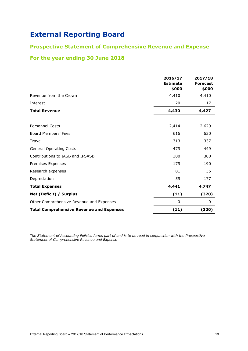## **Prospective Statement of Comprehensive Revenue and Expense**

# **For the year ending 30 June 2018**

|                                                 | 2016/17<br><b>Estimate</b><br>\$000 | 2017/18<br><b>Forecast</b><br>\$000 |
|-------------------------------------------------|-------------------------------------|-------------------------------------|
| Revenue from the Crown                          | 4,410                               | 4,410                               |
| Interest                                        | 20                                  | 17                                  |
| <b>Total Revenue</b>                            | 4,430                               | 4,427                               |
|                                                 |                                     |                                     |
| <b>Personnel Costs</b>                          | 2,414                               | 2,629                               |
| Board Members' Fees                             | 616                                 | 630                                 |
| Travel                                          | 313                                 | 337                                 |
| <b>General Operating Costs</b>                  | 479                                 | 449                                 |
| Contributions to IASB and IPSASB                | 300                                 | 300                                 |
| Premises Expenses                               | 179                                 | 190                                 |
| Research expenses                               | 81                                  | 35                                  |
| Depreciation                                    | 59                                  | 177                                 |
| <b>Total Expenses</b>                           | 4,441                               | 4,747                               |
| Net (Deficit) / Surplus                         | (11)                                | (320)                               |
| Other Comprehensive Revenue and Expenses        | 0                                   | 0                                   |
| <b>Total Comprehensive Revenue and Expenses</b> | (11)                                | (320)                               |

*The Statement of Accounting Policies forms part of and is to be read in conjunction with the Prospective Statement of Comprehensive Revenue and Expense*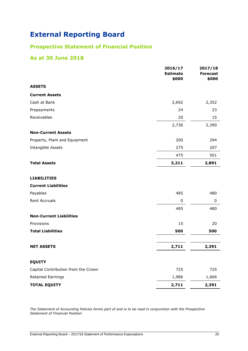# **Prospective Statement of Financial Position**

### **As at 30 June 2018**

|                                     | 2016/17<br><b>Estimate</b> | 2017/18<br><b>Forecast</b> |
|-------------------------------------|----------------------------|----------------------------|
|                                     | \$000                      | \$000                      |
| <b>ASSETS</b>                       |                            |                            |
| <b>Current Assets</b>               |                            |                            |
| Cash at Bank                        | 2,692                      | 2,352                      |
| Prepayments                         | 24                         | 23                         |
| Receivables                         | 20                         | 15                         |
|                                     | 2,736                      | 2,390                      |
| <b>Non-Current Assets</b>           |                            |                            |
| Property, Plant and Equipment       | 200                        | 294                        |
| Intangible Assets                   | 275                        | 207                        |
|                                     | 475                        | 501                        |
| <b>Total Assets</b>                 | 3,211                      | 2,891                      |
| <b>LIABILITIES</b>                  |                            |                            |
| <b>Current Liabilities</b>          |                            |                            |
| Payables                            | 485                        | 480                        |
| <b>Rent Accruals</b>                | $\pmb{0}$                  | $\pmb{0}$                  |
|                                     | 485                        | 480                        |
| <b>Non-Current Liabilities</b>      |                            |                            |
| Provisions                          | 15                         | 20                         |
| <b>Total Liabilities</b>            | 500                        | 500                        |
| <b>NET ASSETS</b>                   | 2,711                      | 2,391                      |
|                                     |                            |                            |
| <b>EQUITY</b>                       |                            |                            |
| Capital Contribution from the Crown | 725                        | 725                        |
| Retained Earnings                   | 1,986                      | 1,666                      |
| <b>TOTAL EQUITY</b>                 | 2,711                      | 2,391                      |

*The Statement of Accounting Policies forms part of and is to be read in conjunction with the Prospective Statement of Financial Position*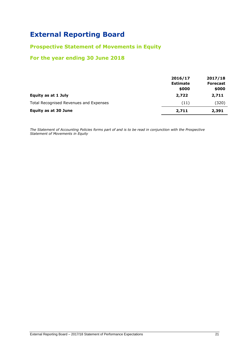### **Prospective Statement of Movements in Equity**

## **For the year ending 30 June 2018**

|                                        | 2016/17<br><b>Estimate</b><br>\$000 | 2017/18<br><b>Forecast</b><br>\$000 |
|----------------------------------------|-------------------------------------|-------------------------------------|
| Equity as at 1 July                    | 2,722                               | 2,711                               |
| Total Recognised Revenues and Expenses | (11)                                | (320)                               |
| <b>Equity as at 30 June</b>            | 2,711                               | 2,391                               |

*The Statement of Accounting Policies forms part of and is to be read in conjunction with the Prospective Statement of Movements in Equity*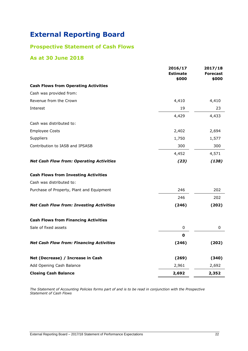# **Prospective Statement of Cash Flows**

## **As at 30 June 2018**

|                                                 | 2016/17<br><b>Estimate</b><br>\$000 | 2017/18<br><b>Forecast</b><br>\$000 |
|-------------------------------------------------|-------------------------------------|-------------------------------------|
| <b>Cash Flows from Operating Activities</b>     |                                     |                                     |
| Cash was provided from:                         |                                     |                                     |
| Revenue from the Crown                          | 4,410                               | 4,410                               |
| Interest                                        | 19                                  | 23                                  |
|                                                 | 4,429                               | 4,433                               |
| Cash was distributed to:                        |                                     |                                     |
| <b>Employee Costs</b>                           | 2,402                               | 2,694                               |
| Suppliers                                       | 1,750                               | 1,577                               |
| Contribution to IASB and IPSASB                 | 300                                 | 300                                 |
|                                                 | 4,452                               | 4,571                               |
| <b>Net Cash Flow from: Operating Activities</b> | (23)                                | (138)                               |
| <b>Cash Flows from Investing Activities</b>     |                                     |                                     |
| Cash was distributed to:                        |                                     |                                     |
| Purchase of Property, Plant and Equipment       | 246                                 | 202                                 |
|                                                 | 246                                 | 202                                 |
| <b>Net Cash Flow from: Investing Activities</b> | (246)                               | (202)                               |
| <b>Cash Flows from Financing Activities</b>     |                                     |                                     |
| Sale of fixed assets                            | 0                                   | 0                                   |
|                                                 | 0                                   |                                     |
| <b>Net Cash Flow from: Financing Activities</b> | (246)                               | (202)                               |
| Net (Decrease) / Increase in Cash               | (269)                               | (340)                               |
| Add Opening Cash Balance                        | 2,961                               | 2,692                               |
| <b>Closing Cash Balance</b>                     | 2,692                               | 2,352                               |

*The Statement of Accounting Policies forms part of and is to be read in conjunction with the Prospective Statement of Cash Flows*